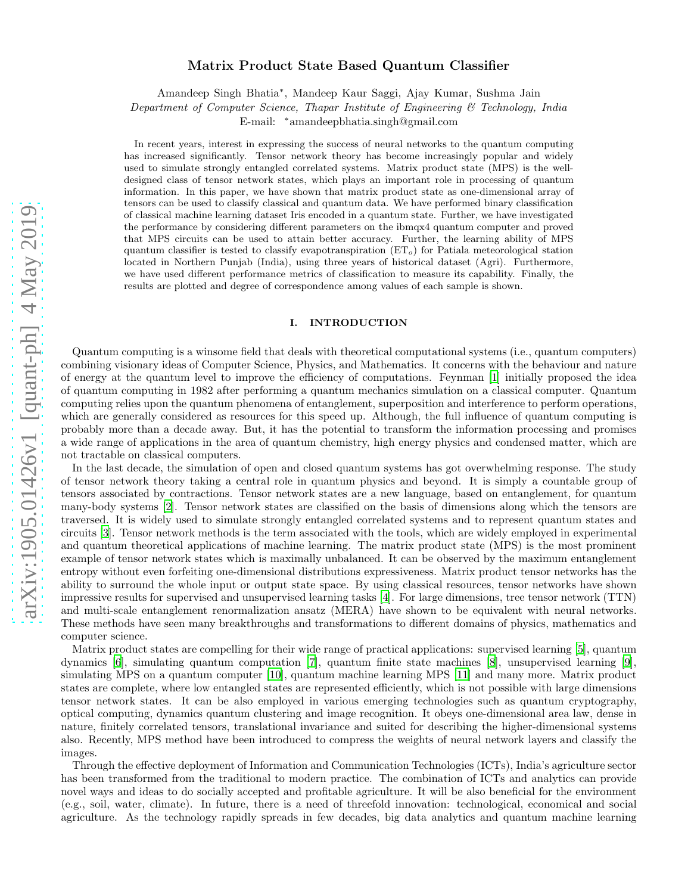# arXiv:1905.01426v1 [quant-ph] 4 May 2019 [arXiv:1905.01426v1 \[quant-ph\] 4 May 2019](http://arxiv.org/abs/1905.01426v1)

# Matrix Product State Based Quantum Classifier

Amandeep Singh Bhatia<sup>∗</sup> , Mandeep Kaur Saggi, Ajay Kumar, Sushma Jain

Department of Computer Science, Thapar Institute of Engineering & Technology, India

E-mail: <sup>∗</sup>amandeepbhatia.singh@gmail.com

In recent years, interest in expressing the success of neural networks to the quantum computing has increased significantly. Tensor network theory has become increasingly popular and widely used to simulate strongly entangled correlated systems. Matrix product state (MPS) is the welldesigned class of tensor network states, which plays an important role in processing of quantum information. In this paper, we have shown that matrix product state as one-dimensional array of tensors can be used to classify classical and quantum data. We have performed binary classification of classical machine learning dataset Iris encoded in a quantum state. Further, we have investigated the performance by considering different parameters on the ibmqx4 quantum computer and proved that MPS circuits can be used to attain better accuracy. Further, the learning ability of MPS quantum classifier is tested to classify evapotranspiration  $(ET<sub>o</sub>)$  for Patiala meteorological station located in Northern Punjab (India), using three years of historical dataset (Agri). Furthermore, we have used different performance metrics of classification to measure its capability. Finally, the results are plotted and degree of correspondence among values of each sample is shown.

# I. INTRODUCTION

Quantum computing is a winsome field that deals with theoretical computational systems (i.e., quantum computers) combining visionary ideas of Computer Science, Physics, and Mathematics. It concerns with the behaviour and nature of energy at the quantum level to improve the efficiency of computations. Feynman [\[1\]](#page-11-0) initially proposed the idea of quantum computing in 1982 after performing a quantum mechanics simulation on a classical computer. Quantum computing relies upon the quantum phenomena of entanglement, superposition and interference to perform operations, which are generally considered as resources for this speed up. Although, the full influence of quantum computing is probably more than a decade away. But, it has the potential to transform the information processing and promises a wide range of applications in the area of quantum chemistry, high energy physics and condensed matter, which are not tractable on classical computers.

In the last decade, the simulation of open and closed quantum systems has got overwhelming response. The study of tensor network theory taking a central role in quantum physics and beyond. It is simply a countable group of tensors associated by contractions. Tensor network states are a new language, based on entanglement, for quantum many-body systems [\[2\]](#page-11-1). Tensor network states are classified on the basis of dimensions along which the tensors are traversed. It is widely used to simulate strongly entangled correlated systems and to represent quantum states and circuits [\[3](#page-11-2)]. Tensor network methods is the term associated with the tools, which are widely employed in experimental and quantum theoretical applications of machine learning. The matrix product state (MPS) is the most prominent example of tensor network states which is maximally unbalanced. It can be observed by the maximum entanglement entropy without even forfeiting one-dimensional distributions expressiveness. Matrix product tensor networks has the ability to surround the whole input or output state space. By using classical resources, tensor networks have shown impressive results for supervised and unsupervised learning tasks [\[4](#page-11-3)]. For large dimensions, tree tensor network (TTN) and multi-scale entanglement renormalization ansatz (MERA) have shown to be equivalent with neural networks. These methods have seen many breakthroughs and transformations to different domains of physics, mathematics and computer science.

Matrix product states are compelling for their wide range of practical applications: supervised learning [\[5](#page-11-4)], quantum dynamics [\[6](#page-11-5)], simulating quantum computation [\[7](#page-11-6)], quantum finite state machines [\[8\]](#page-11-7), unsupervised learning [\[9\]](#page-11-8), simulating MPS on a quantum computer [\[10\]](#page-11-9), quantum machine learning MPS [\[11\]](#page-11-10) and many more. Matrix product states are complete, where low entangled states are represented efficiently, which is not possible with large dimensions tensor network states. It can be also employed in various emerging technologies such as quantum cryptography, optical computing, dynamics quantum clustering and image recognition. It obeys one-dimensional area law, dense in nature, finitely correlated tensors, translational invariance and suited for describing the higher-dimensional systems also. Recently, MPS method have been introduced to compress the weights of neural network layers and classify the images.

Through the effective deployment of Information and Communication Technologies (ICTs), India's agriculture sector has been transformed from the traditional to modern practice. The combination of ICTs and analytics can provide novel ways and ideas to do socially accepted and profitable agriculture. It will be also beneficial for the environment (e.g., soil, water, climate). In future, there is a need of threefold innovation: technological, economical and social agriculture. As the technology rapidly spreads in few decades, big data analytics and quantum machine learning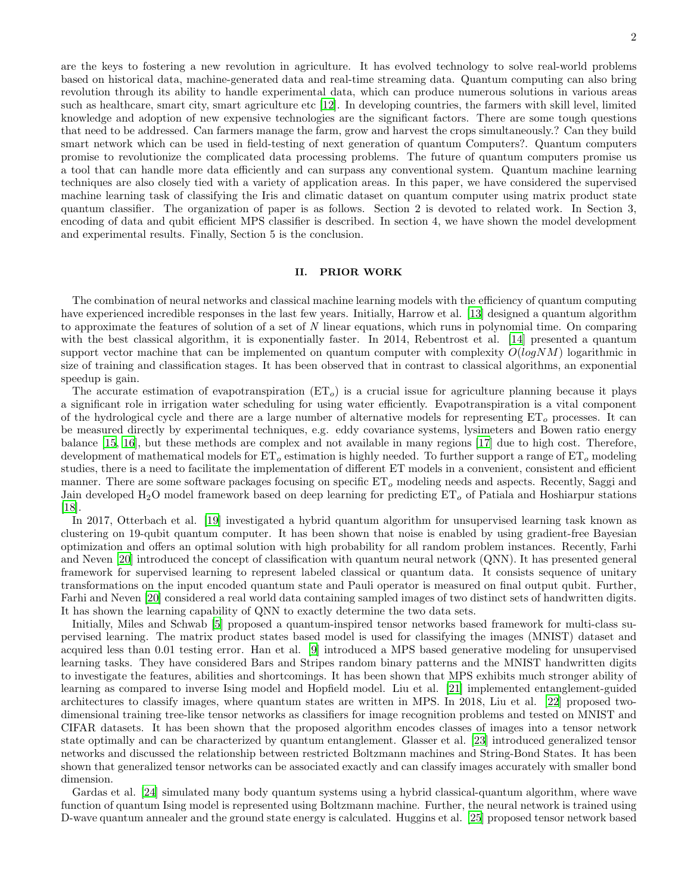are the keys to fostering a new revolution in agriculture. It has evolved technology to solve real-world problems based on historical data, machine-generated data and real-time streaming data. Quantum computing can also bring revolution through its ability to handle experimental data, which can produce numerous solutions in various areas such as healthcare, smart city, smart agriculture etc [\[12\]](#page-11-11). In developing countries, the farmers with skill level, limited knowledge and adoption of new expensive technologies are the significant factors. There are some tough questions that need to be addressed. Can farmers manage the farm, grow and harvest the crops simultaneously.? Can they build smart network which can be used in field-testing of next generation of quantum Computers?. Quantum computers promise to revolutionize the complicated data processing problems. The future of quantum computers promise us a tool that can handle more data efficiently and can surpass any conventional system. Quantum machine learning techniques are also closely tied with a variety of application areas. In this paper, we have considered the supervised machine learning task of classifying the Iris and climatic dataset on quantum computer using matrix product state quantum classifier. The organization of paper is as follows. Section 2 is devoted to related work. In Section 3, encoding of data and qubit efficient MPS classifier is described. In section 4, we have shown the model development and experimental results. Finally, Section 5 is the conclusion.

# II. PRIOR WORK

The combination of neural networks and classical machine learning models with the efficiency of quantum computing have experienced incredible responses in the last few years. Initially, Harrow et al. [\[13\]](#page-11-12) designed a quantum algorithm to approximate the features of solution of a set of N linear equations, which runs in polynomial time. On comparing with the best classical algorithm, it is exponentially faster. In 2014, Rebentrost et al. [\[14](#page-11-13)] presented a quantum support vector machine that can be implemented on quantum computer with complexity  $O(logNM)$  logarithmic in size of training and classification stages. It has been observed that in contrast to classical algorithms, an exponential speedup is gain.

The accurate estimation of evapotranspiration  $(ET<sub>o</sub>)$  is a crucial issue for agriculture planning because it plays a significant role in irrigation water scheduling for using water efficiently. Evapotranspiration is a vital component of the hydrological cycle and there are a large number of alternative models for representing  $ET<sub>o</sub>$  processes. It can be measured directly by experimental techniques, e.g. eddy covariance systems, lysimeters and Bowen ratio energy balance [\[15,](#page-11-14) [16](#page-11-15)], but these methods are complex and not available in many regions [\[17](#page-11-16)] due to high cost. Therefore, development of mathematical models for  $ET_{o}$  estimation is highly needed. To further support a range of  $ET_{o}$  modeling studies, there is a need to facilitate the implementation of different ET models in a convenient, consistent and efficient manner. There are some software packages focusing on specific  $ET<sub>o</sub>$  modeling needs and aspects. Recently, Saggi and Jain developed H<sub>2</sub>O model framework based on deep learning for predicting  $ET<sub>o</sub>$  of Patiala and Hoshiarpur stations [\[18\]](#page-11-17).

In 2017, Otterbach et al. [\[19\]](#page-11-18) investigated a hybrid quantum algorithm for unsupervised learning task known as clustering on 19-qubit quantum computer. It has been shown that noise is enabled by using gradient-free Bayesian optimization and offers an optimal solution with high probability for all random problem instances. Recently, Farhi and Neven [\[20\]](#page-11-19) introduced the concept of classification with quantum neural network (QNN). It has presented general framework for supervised learning to represent labeled classical or quantum data. It consists sequence of unitary transformations on the input encoded quantum state and Pauli operator is measured on final output qubit. Further, Farhi and Neven [\[20\]](#page-11-19) considered a real world data containing sampled images of two distinct sets of handwritten digits. It has shown the learning capability of QNN to exactly determine the two data sets.

Initially, Miles and Schwab [\[5](#page-11-4)] proposed a quantum-inspired tensor networks based framework for multi-class supervised learning. The matrix product states based model is used for classifying the images (MNIST) dataset and acquired less than 0.01 testing error. Han et al. [\[9\]](#page-11-8) introduced a MPS based generative modeling for unsupervised learning tasks. They have considered Bars and Stripes random binary patterns and the MNIST handwritten digits to investigate the features, abilities and shortcomings. It has been shown that MPS exhibits much stronger ability of learning as compared to inverse Ising model and Hopfield model. Liu et al. [\[21\]](#page-11-20) implemented entanglement-guided architectures to classify images, where quantum states are written in MPS. In 2018, Liu et al. [\[22](#page-11-21)] proposed twodimensional training tree-like tensor networks as classifiers for image recognition problems and tested on MNIST and CIFAR datasets. It has been shown that the proposed algorithm encodes classes of images into a tensor network state optimally and can be characterized by quantum entanglement. Glasser et al. [\[23](#page-11-22)] introduced generalized tensor networks and discussed the relationship between restricted Boltzmann machines and String-Bond States. It has been shown that generalized tensor networks can be associated exactly and can classify images accurately with smaller bond dimension.

Gardas et al. [\[24\]](#page-11-23) simulated many body quantum systems using a hybrid classical-quantum algorithm, where wave function of quantum Ising model is represented using Boltzmann machine. Further, the neural network is trained using D-wave quantum annealer and the ground state energy is calculated. Huggins et al. [\[25\]](#page-12-0) proposed tensor network based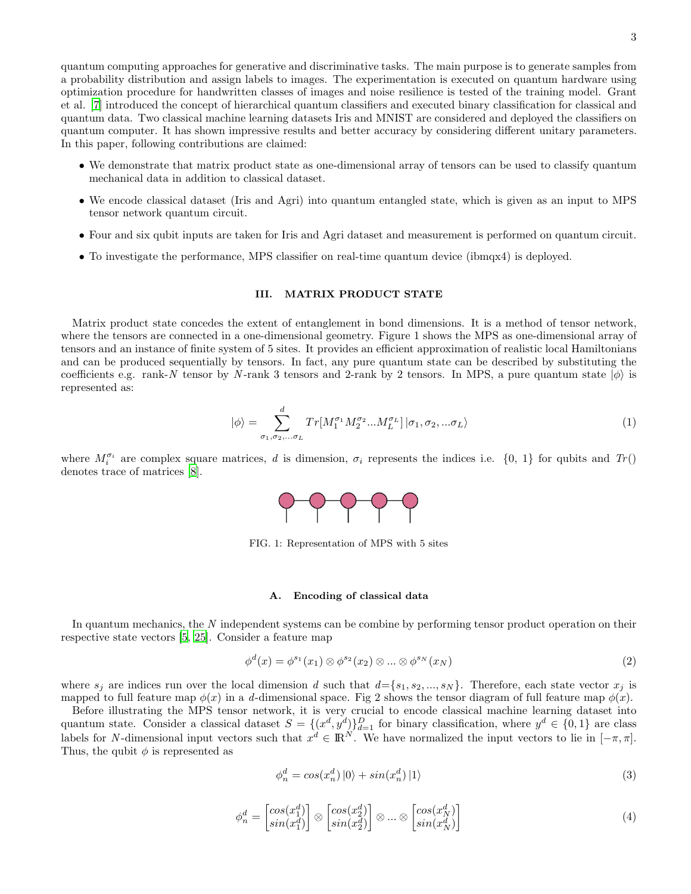quantum computing approaches for generative and discriminative tasks. The main purpose is to generate samples from a probability distribution and assign labels to images. The experimentation is executed on quantum hardware using optimization procedure for handwritten classes of images and noise resilience is tested of the training model. Grant et al. [\[7\]](#page-11-6) introduced the concept of hierarchical quantum classifiers and executed binary classification for classical and quantum data. Two classical machine learning datasets Iris and MNIST are considered and deployed the classifiers on quantum computer. It has shown impressive results and better accuracy by considering different unitary parameters. In this paper, following contributions are claimed:

- We demonstrate that matrix product state as one-dimensional array of tensors can be used to classify quantum mechanical data in addition to classical dataset.
- We encode classical dataset (Iris and Agri) into quantum entangled state, which is given as an input to MPS tensor network quantum circuit.
- Four and six qubit inputs are taken for Iris and Agri dataset and measurement is performed on quantum circuit.
- To investigate the performance, MPS classifier on real-time quantum device (ibmqx4) is deployed.

### III. MATRIX PRODUCT STATE

Matrix product state concedes the extent of entanglement in bond dimensions. It is a method of tensor network, where the tensors are connected in a one-dimensional geometry. Figure 1 shows the MPS as one-dimensional array of tensors and an instance of finite system of 5 sites. It provides an efficient approximation of realistic local Hamiltonians and can be produced sequentially by tensors. In fact, any pure quantum state can be described by substituting the coefficients e.g. rank-N tensor by N-rank 3 tensors and 2-rank by 2 tensors. In MPS, a pure quantum state  $|\phi\rangle$  is represented as:

$$
|\phi\rangle = \sum_{\sigma_1, \sigma_2, \dots, \sigma_L}^d Tr[M_1^{\sigma_1} M_2^{\sigma_2} \dots M_L^{\sigma_L}] |\sigma_1, \sigma_2, \dots, \sigma_L\rangle
$$
\n(1)

where  $M_i^{\sigma_i}$  are complex square matrices, d is dimension,  $\sigma_i$  represents the indices i.e.  $\{0, 1\}$  for qubits and  $Tr()$ denotes trace of matrices [\[8\]](#page-11-7).



FIG. 1: Representation of MPS with 5 sites

# A. Encoding of classical data

In quantum mechanics, the N independent systems can be combine by performing tensor product operation on their respective state vectors [\[5](#page-11-4), [25\]](#page-12-0). Consider a feature map

$$
\phi^d(x) = \phi^{s_1}(x_1) \otimes \phi^{s_2}(x_2) \otimes \dots \otimes \phi^{s_N}(x_N)
$$
\n<sup>(2)</sup>

where  $s_j$  are indices run over the local dimension d such that  $d = \{s_1, s_2, ..., s_N\}$ . Therefore, each state vector  $x_j$  is mapped to full feature map  $\phi(x)$  in a d-dimensional space. Fig 2 shows the tensor diagram of full feature map  $\phi(x)$ .

Before illustrating the MPS tensor network, it is very crucial to encode classical machine learning dataset into quantum state. Consider a classical dataset  $S = \{(x^d, y^d)\}_{d=1}^D$  for binary classification, where  $y^d \in \{0, 1\}$  are class labels for N-dimensional input vectors such that  $x^d \in \mathbb{R}^N$ . We have normalized the input vectors to lie in  $[-\pi, \pi]$ . Thus, the qubit  $\phi$  is represented as

$$
\phi_n^d = \cos(x_n^d) \left| 0 \right\rangle + \sin(x_n^d) \left| 1 \right\rangle \tag{3}
$$

$$
\phi_n^d = \begin{bmatrix} \cos(x_1^d) \\ \sin(x_1^d) \end{bmatrix} \otimes \begin{bmatrix} \cos(x_2^d) \\ \sin(x_2^d) \end{bmatrix} \otimes \dots \otimes \begin{bmatrix} \cos(x_N^d) \\ \sin(x_N^d) \end{bmatrix}
$$
(4)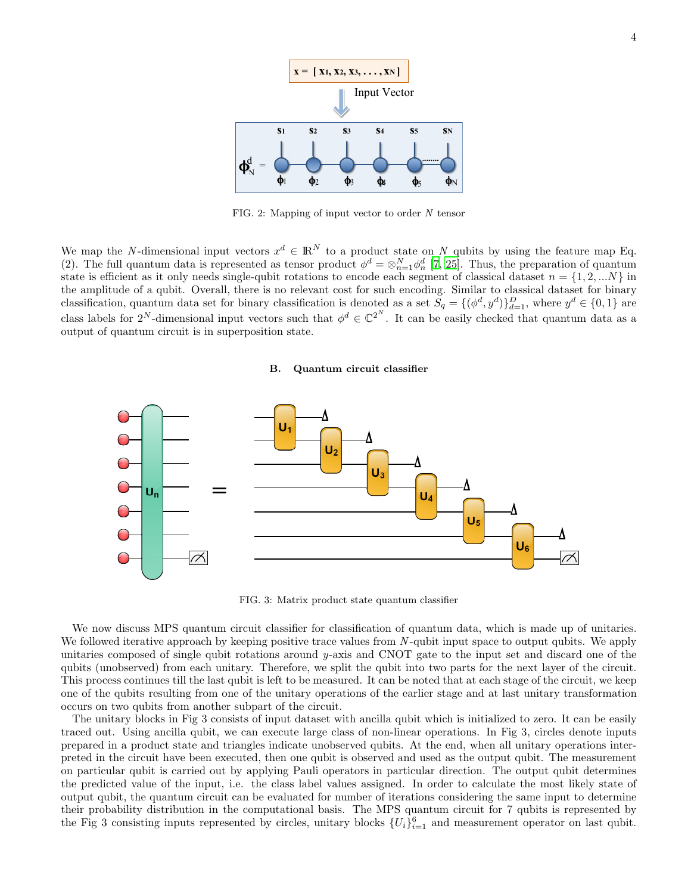

FIG. 2: Mapping of input vector to order N tensor

We map the N-dimensional input vectors  $x^d \in \mathbb{R}^N$  to a product state on N qubits by using the feature map Eq. (2). The full quantum data is represented as tensor product  $\phi^d = \otimes_{n=1}^N \phi_n^d$  [\[7](#page-11-6), [25](#page-12-0)]. Thus, the preparation of quantum state is efficient as it only needs single-qubit rotations to encode each segment of classical dataset  $n = \{1, 2, ...N\}$  in the amplitude of a qubit. Overall, there is no relevant cost for such encoding. Similar to classical dataset for binary classification, quantum data set for binary classification is denoted as a set  $S_q = \{(\phi^d, y^d)\}_{d=1}^D$ , where  $y^d \in \{0, 1\}$  are class labels for  $2^N$ -dimensional input vectors such that  $\phi^d \in \mathbb{C}^{2^N}$ . It can be easily checked that quantum data as a output of quantum circuit is in superposition state.

### B. Quantum circuit classifier



FIG. 3: Matrix product state quantum classifier

We now discuss MPS quantum circuit classifier for classification of quantum data, which is made up of unitaries. We followed iterative approach by keeping positive trace values from N-qubit input space to output qubits. We apply unitaries composed of single qubit rotations around  $y$ -axis and CNOT gate to the input set and discard one of the qubits (unobserved) from each unitary. Therefore, we split the qubit into two parts for the next layer of the circuit. This process continues till the last qubit is left to be measured. It can be noted that at each stage of the circuit, we keep one of the qubits resulting from one of the unitary operations of the earlier stage and at last unitary transformation occurs on two qubits from another subpart of the circuit.

The unitary blocks in Fig 3 consists of input dataset with ancilla qubit which is initialized to zero. It can be easily traced out. Using ancilla qubit, we can execute large class of non-linear operations. In Fig 3, circles denote inputs prepared in a product state and triangles indicate unobserved qubits. At the end, when all unitary operations interpreted in the circuit have been executed, then one qubit is observed and used as the output qubit. The measurement on particular qubit is carried out by applying Pauli operators in particular direction. The output qubit determines the predicted value of the input, i.e. the class label values assigned. In order to calculate the most likely state of output qubit, the quantum circuit can be evaluated for number of iterations considering the same input to determine their probability distribution in the computational basis. The MPS quantum circuit for 7 qubits is represented by the Fig 3 consisting inputs represented by circles, unitary blocks  $\{U_i\}_{i=1}^6$  and measurement operator on last qubit.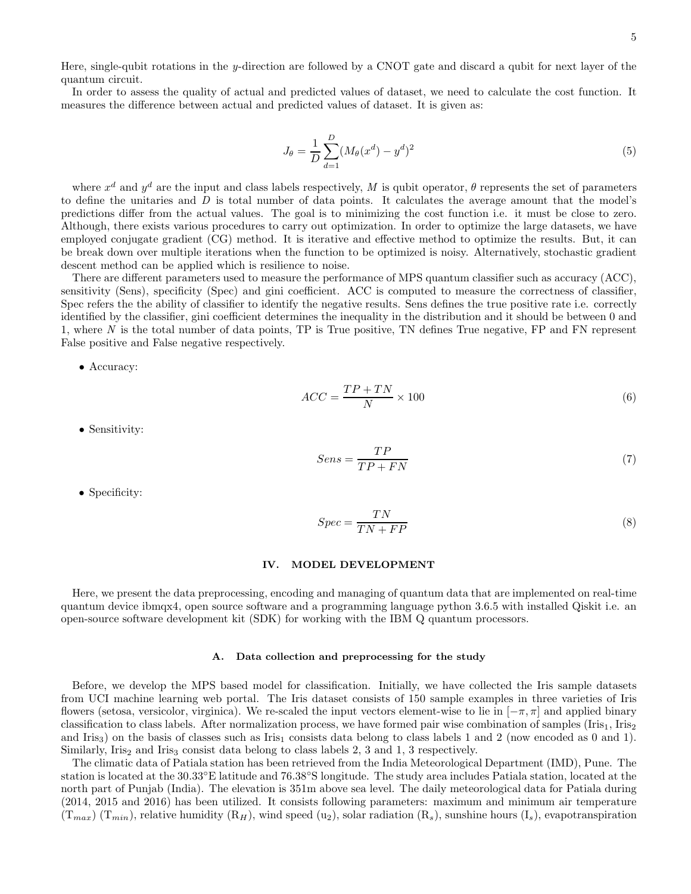Here, single-qubit rotations in the y-direction are followed by a CNOT gate and discard a qubit for next layer of the quantum circuit.

In order to assess the quality of actual and predicted values of dataset, we need to calculate the cost function. It measures the difference between actual and predicted values of dataset. It is given as:

$$
J_{\theta} = \frac{1}{D} \sum_{d=1}^{D} (M_{\theta}(x^d) - y^d)^2
$$
\n(5)

where  $x^d$  and  $y^d$  are the input and class labels respectively, M is qubit operator,  $\theta$  represents the set of parameters to define the unitaries and  $D$  is total number of data points. It calculates the average amount that the model's predictions differ from the actual values. The goal is to minimizing the cost function i.e. it must be close to zero. Although, there exists various procedures to carry out optimization. In order to optimize the large datasets, we have employed conjugate gradient (CG) method. It is iterative and effective method to optimize the results. But, it can be break down over multiple iterations when the function to be optimized is noisy. Alternatively, stochastic gradient descent method can be applied which is resilience to noise.

There are different parameters used to measure the performance of MPS quantum classifier such as accuracy (ACC), sensitivity (Sens), specificity (Spec) and gini coefficient. ACC is computed to measure the correctness of classifier, Spec refers the the ability of classifier to identify the negative results. Sens defines the true positive rate i.e. correctly identified by the classifier, gini coefficient determines the inequality in the distribution and it should be between 0 and 1, where  $N$  is the total number of data points, TP is True positive, TN defines True negative, FP and FN represent False positive and False negative respectively.

• Accuracy:

$$
ACC = \frac{TP + TN}{N} \times 100\tag{6}
$$

• Sensitivity:

$$
Sens = \frac{TP}{TP + FN} \tag{7}
$$

• Specificity:

$$
Spec = \frac{TN}{TN + FP}
$$
\n<sup>(8)</sup>

# IV. MODEL DEVELOPMENT

Here, we present the data preprocessing, encoding and managing of quantum data that are implemented on real-time quantum device ibmqx4, open source software and a programming language python 3.6.5 with installed Qiskit i.e. an open-source software development kit (SDK) for working with the IBM Q quantum processors.

### A. Data collection and preprocessing for the study

Before, we develop the MPS based model for classification. Initially, we have collected the Iris sample datasets from UCI machine learning web portal. The Iris dataset consists of 150 sample examples in three varieties of Iris flowers (setosa, versicolor, virginica). We re-scaled the input vectors element-wise to lie in  $[-\pi, \pi]$  and applied binary classification to class labels. After normalization process, we have formed pair wise combination of samples (Iris<sub>1</sub>, Iris<sub>2</sub>) and Iris<sub>3</sub>) on the basis of classes such as Iris<sub>1</sub> consists data belong to class labels 1 and 2 (now encoded as 0 and 1). Similarly, Iris<sub>2</sub> and Iris<sub>3</sub> consist data belong to class labels 2, 3 and 1, 3 respectively.

The climatic data of Patiala station has been retrieved from the India Meteorological Department (IMD), Pune. The station is located at the 30.33◦E latitude and 76.38◦S longitude. The study area includes Patiala station, located at the north part of Punjab (India). The elevation is 351m above sea level. The daily meteorological data for Patiala during (2014, 2015 and 2016) has been utilized. It consists following parameters: maximum and minimum air temperature  $(T_{max})$   $(T_{min})$ , relative humidity  $(R_H)$ , wind speed  $(u_2)$ , solar radiation  $(R_s)$ , sunshine hours  $(I_s)$ , evapotranspiration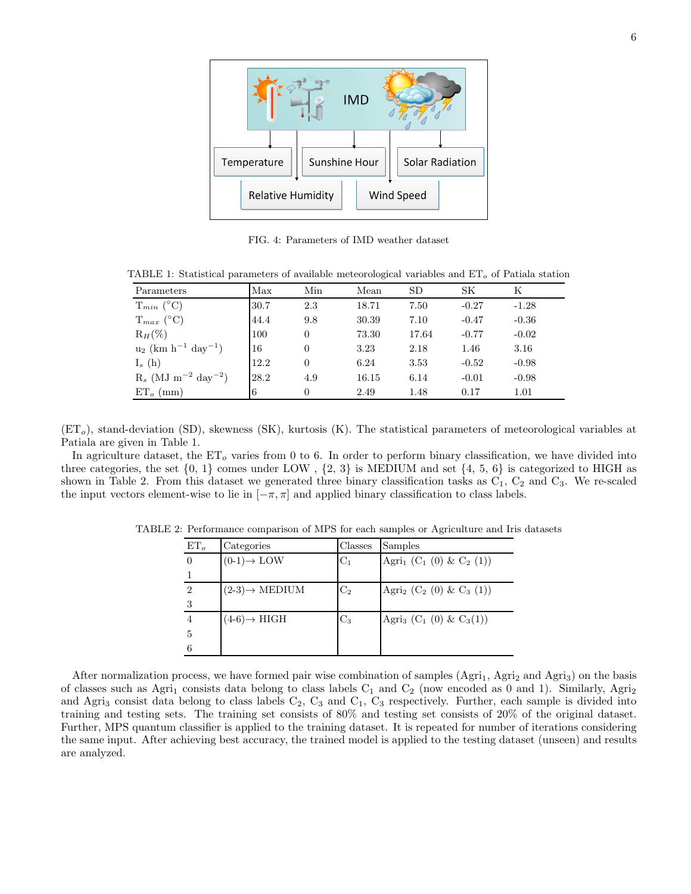

FIG. 4: Parameters of IMD weather dataset

TABLE 1: Statistical parameters of available meteorological variables and  $ET<sub>o</sub>$  of Patiala station

| Parameters                                    | Max  | Min      | Mean  | <b>SD</b> | SК      | K       |
|-----------------------------------------------|------|----------|-------|-----------|---------|---------|
| $T_{min}$ (°C)                                | 30.7 | 2.3      | 18.71 | 7.50      | $-0.27$ | $-1.28$ |
| $T_{max}$ (°C)                                | 44.4 | 9.8      | 30.39 | 7.10      | $-0.47$ | $-0.36$ |
| $\mathrm{R}_H(\%)$                            | 100  | $\Omega$ | 73.30 | 17.64     | $-0.77$ | $-0.02$ |
| $u_2$ (km h <sup>-1</sup> day <sup>-1</sup> ) | 16   | $\Omega$ | 3.23  | 2.18      | 1.46    | 3.16    |
| $I_s(h)$                                      | 12.2 | $\Omega$ | 6.24  | 3.53      | $-0.52$ | $-0.98$ |
| $R_s$ (MJ m <sup>-2</sup> day <sup>-2</sup> ) | 28.2 | 4.9      | 16.15 | 6.14      | $-0.01$ | $-0.98$ |
| $ET_{o}$ (mm)                                 | 6    | $\theta$ | 2.49  | 1.48      | 0.17    | 1.01    |

 $(ET<sub>o</sub>)$ , stand-deviation (SD), skewness (SK), kurtosis (K). The statistical parameters of meteorological variables at Patiala are given in Table 1.

In agriculture dataset, the  $ET<sub>o</sub>$  varies from 0 to 6. In order to perform binary classification, we have divided into three categories, the set  $\{0, 1\}$  comes under LOW,  $\{2, 3\}$  is MEDIUM and set  $\{4, 5, 6\}$  is categorized to HIGH as shown in Table 2. From this dataset we generated three binary classification tasks as  $C_1$ ,  $C_2$  and  $C_3$ . We re-scaled the input vectors element-wise to lie in  $[-\pi, \pi]$  and applied binary classification to class labels.

| $ET_{o}$       | Categories                        | Classes        | Samples                                                     |
|----------------|-----------------------------------|----------------|-------------------------------------------------------------|
| $\Omega$       | $(0-1) \rightarrow$ LOW           | $C_1$          | Agri <sub>1</sub> (C <sub>1</sub> (0) & C <sub>2</sub> (1)) |
|                |                                   |                |                                                             |
| $\overline{2}$ | $(2-3) \rightarrow \text{MEDIUM}$ | C <sub>2</sub> | Agri <sub>2</sub> (C <sub>2</sub> (0) & C <sub>3</sub> (1)) |
| 3              |                                   |                |                                                             |
| $\overline{4}$ | $(4-6) \rightarrow HIGH$          | $C_3$          | Agri <sub>3</sub> (C <sub>1</sub> (0) & C <sub>3</sub> (1)) |
| 5              |                                   |                |                                                             |
| 6              |                                   |                |                                                             |

TABLE 2: Performance comparison of MPS for each samples or Agriculture and Iris datasets

After normalization process, we have formed pair wise combination of samples  $(Agri<sub>1</sub>, Agri<sub>2</sub> and Agri<sub>3</sub>)$  on the basis of classes such as Agri<sub>1</sub> consists data belong to class labels  $C_1$  and  $C_2$  (now encoded as 0 and 1). Similarly, Agri<sub>2</sub> and Agri<sub>3</sub> consist data belong to class labels  $C_2$ ,  $C_3$  and  $C_1$ ,  $C_3$  respectively. Further, each sample is divided into training and testing sets. The training set consists of 80% and testing set consists of 20% of the original dataset. Further, MPS quantum classifier is applied to the training dataset. It is repeated for number of iterations considering the same input. After achieving best accuracy, the trained model is applied to the testing dataset (unseen) and results are analyzed.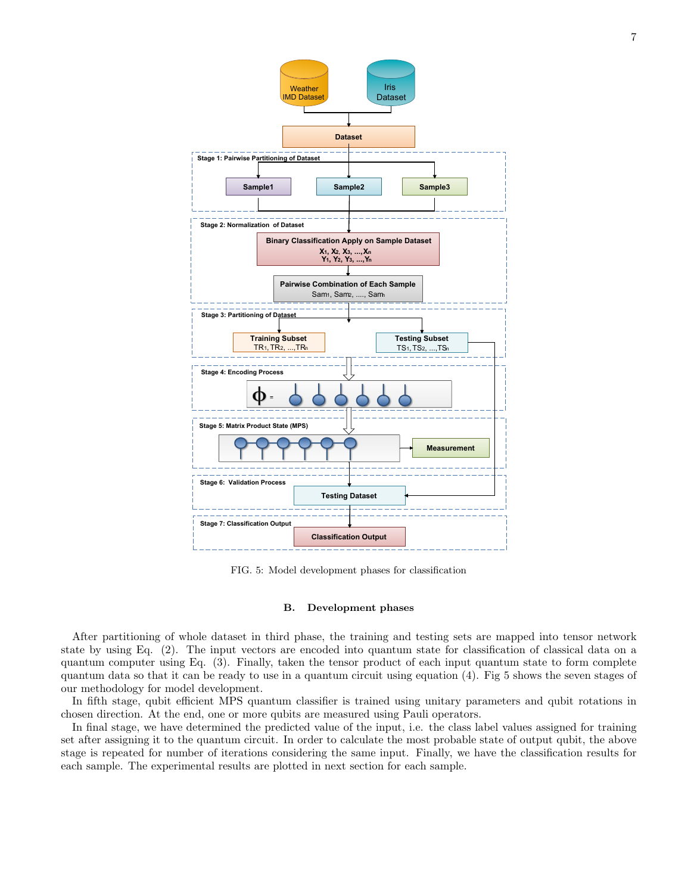

FIG. 5: Model development phases for classification

# B. Development phases

After partitioning of whole dataset in third phase, the training and testing sets are mapped into tensor network state by using Eq. (2). The input vectors are encoded into quantum state for classification of classical data on a quantum computer using Eq. (3). Finally, taken the tensor product of each input quantum state to form complete quantum data so that it can be ready to use in a quantum circuit using equation (4). Fig 5 shows the seven stages of our methodology for model development.

In fifth stage, qubit efficient MPS quantum classifier is trained using unitary parameters and qubit rotations in chosen direction. At the end, one or more qubits are measured using Pauli operators.

In final stage, we have determined the predicted value of the input, i.e. the class label values assigned for training set after assigning it to the quantum circuit. In order to calculate the most probable state of output qubit, the above stage is repeated for number of iterations considering the same input. Finally, we have the classification results for each sample. The experimental results are plotted in next section for each sample.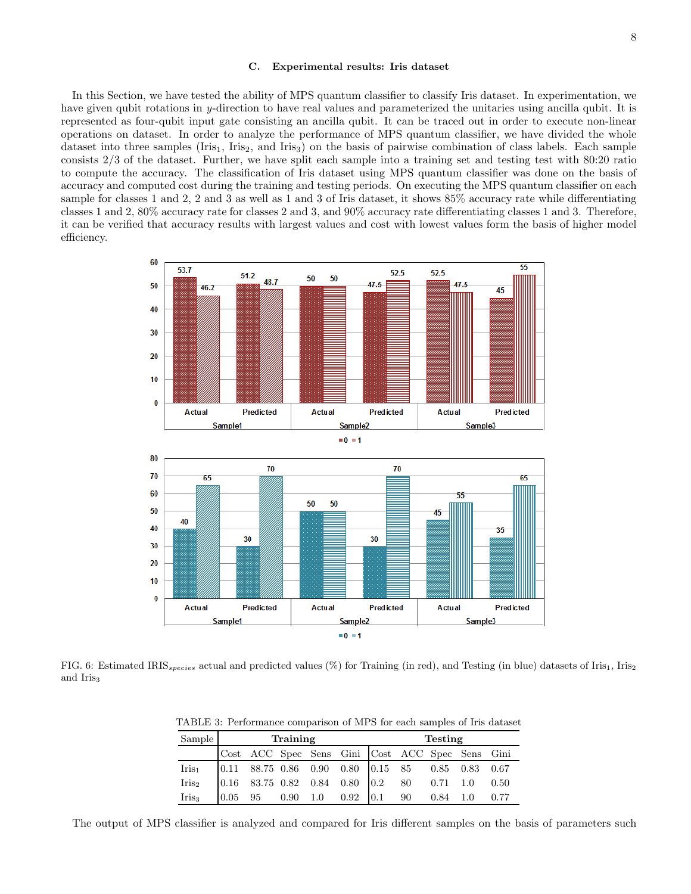### C. Experimental results: Iris dataset

In this Section, we have tested the ability of MPS quantum classifier to classify Iris dataset. In experimentation, we have given qubit rotations in y-direction to have real values and parameterized the unitaries using ancilla qubit. It is represented as four-qubit input gate consisting an ancilla qubit. It can be traced out in order to execute non-linear operations on dataset. In order to analyze the performance of MPS quantum classifier, we have divided the whole dataset into three samples  $(Iris<sub>1</sub>, Iris<sub>2</sub>, and Iris<sub>3</sub>)$  on the basis of pairwise combination of class labels. Each sample consists 2/3 of the dataset. Further, we have split each sample into a training set and testing test with 80:20 ratio to compute the accuracy. The classification of Iris dataset using MPS quantum classifier was done on the basis of accuracy and computed cost during the training and testing periods. On executing the MPS quantum classifier on each sample for classes 1 and 2, 2 and 3 as well as 1 and 3 of Iris dataset, it shows 85% accuracy rate while differentiating classes 1 and 2, 80% accuracy rate for classes 2 and 3, and 90% accuracy rate differentiating classes 1 and 3. Therefore, it can be verified that accuracy results with largest values and cost with lowest values form the basis of higher model efficiency.



FIG. 6: Estimated IRIS<sub>species</sub> actual and predicted values  $(\%)$  for Training (in red), and Testing (in blue) datasets of Iris<sub>1</sub>, Iris<sub>2</sub> and Iris<sub>3</sub>

TABLE 3: Performance comparison of MPS for each samples of Iris dataset

| Sample            | Training |  |  |  | <b>Testing</b>                                                                                             |  |  |  |  |  |
|-------------------|----------|--|--|--|------------------------------------------------------------------------------------------------------------|--|--|--|--|--|
|                   |          |  |  |  | Cost ACC Spec Sens Gini Cost ACC Spec Sens Gini                                                            |  |  |  |  |  |
| $Iris_1$          |          |  |  |  | $\begin{array}{cccccccccc} 0.11 & 88.75 & 0.86 & 0.90 & 0.80 & 0.15 & 85 & 0.85 & 0.83 & 0.67 \end{array}$ |  |  |  |  |  |
| Iris <sub>2</sub> |          |  |  |  | $\begin{array}{ccccccccc} 0.16 & 83.75 & 0.82 & 0.84 & 0.80 & 0.2 & 80 & 0.71 & 1.0 & 0.50 \end{array}$    |  |  |  |  |  |
| Iris <sub>3</sub> |          |  |  |  | $\begin{array}{ccccccccc} 0.05 & 95 & 0.90 & 1.0 & 0.92 & 0.1 & 90 & 0.84 & 1.0 & 0.77 \end{array}$        |  |  |  |  |  |

The output of MPS classifier is analyzed and compared for Iris different samples on the basis of parameters such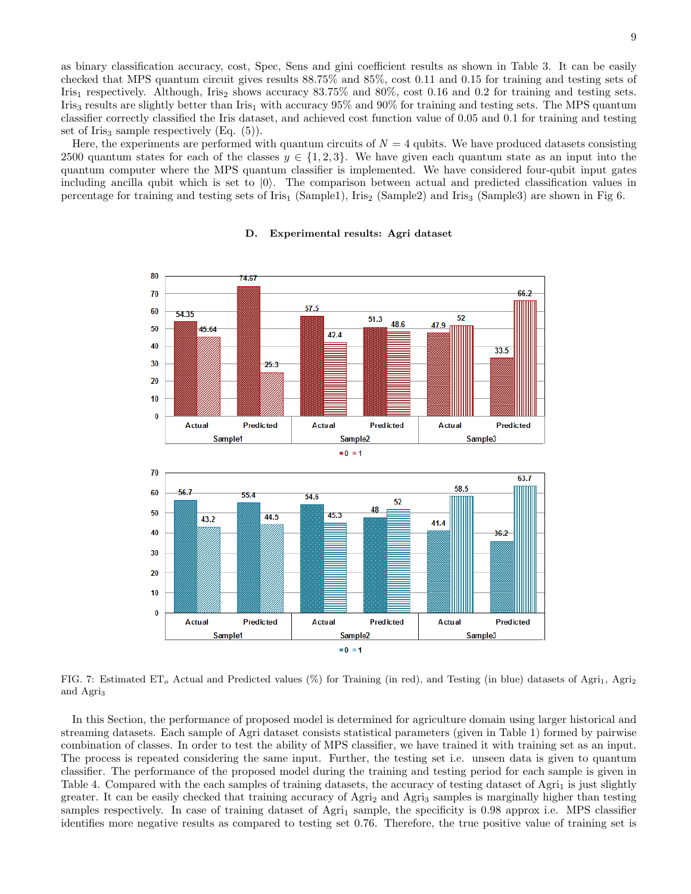as binary classification accuracy, cost, Spec, Sens and gini coefficient results as shown in Table 3. It can be easily checked that MPS quantum circuit gives results 88.75% and 85%, cost 0.11 and 0.15 for training and testing sets of Iris<sub>1</sub> respectively. Although, Iris<sub>2</sub> shows accuracy 83.75% and 80%, cost 0.16 and 0.2 for training and testing sets. Iris<sub>3</sub> results are slightly better than Iris<sub>1</sub> with accuracy 95% and 90% for training and testing sets. The MPS quantum classifier correctly classified the Iris dataset, and achieved cost function value of 0.05 and 0.1 for training and testing set of Iris<sub>3</sub> sample respectively  $(Eq. (5))$ .

Here, the experiments are performed with quantum circuits of  $N = 4$  qubits. We have produced datasets consisting 2500 quantum states for each of the classes  $y \in \{1,2,3\}$ . We have given each quantum state as an input into the quantum computer where the MPS quantum classifier is implemented. We have considered four-qubit input gates including ancilla qubit which is set to  $|0\rangle$ . The comparison between actual and predicted classification values in percentage for training and testing sets of Iris<sub>1</sub> (Sample1), Iris<sub>2</sub> (Sample2) and Iris<sub>3</sub> (Sample3) are shown in Fig 6.



### D. Experimental results: Agri dataset

FIG. 7: Estimated ET<sub>o</sub> Actual and Predicted values (%) for Training (in red), and Testing (in blue) datasets of Agri<sub>1</sub>, Agri<sub>2</sub> and Agri<sup>3</sup>

In this Section, the performance of proposed model is determined for agriculture domain using larger historical and streaming datasets. Each sample of Agri dataset consists statistical parameters (given in Table 1) formed by pairwise combination of classes. In order to test the ability of MPS classifier, we have trained it with training set as an input. The process is repeated considering the same input. Further, the testing set i.e. unseen data is given to quantum classifier. The performance of the proposed model during the training and testing period for each sample is given in Table 4. Compared with the each samples of training datasets, the accuracy of testing dataset of  $\text{Agri}_1$  is just slightly greater. It can be easily checked that training accuracy of Agri<sub>2</sub> and Agri<sub>3</sub> samples is marginally higher than testing samples respectively. In case of training dataset of Agri<sub>1</sub> sample, the specificity is  $0.98$  approx i.e. MPS classifier identifies more negative results as compared to testing set 0.76. Therefore, the true positive value of training set is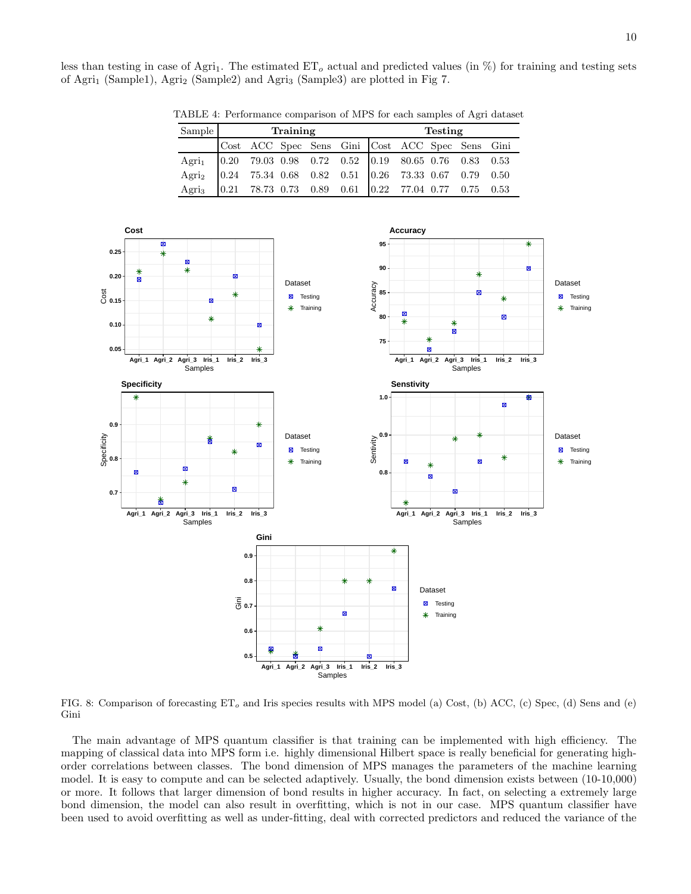10

less than testing in case of Agri<sub>1</sub>. The estimated  $ET<sub>o</sub>$  actual and predicted values (in  $\%$ ) for training and testing sets of Agri<sub>1</sub> (Sample1), Agri<sub>2</sub> (Sample2) and Agri<sub>3</sub> (Sample3) are plotted in Fig 7.

| $S_{\text{amnlø}}$ | Training                                                                | Tosting |  |
|--------------------|-------------------------------------------------------------------------|---------|--|
|                    | TABLE 4: Performance comparison of MPS for each samples of Agri dataset |         |  |

| Sample                                                                    | Training |  |  |  | Testing                                         |  |  |  |  |  |  |
|---------------------------------------------------------------------------|----------|--|--|--|-------------------------------------------------|--|--|--|--|--|--|
|                                                                           |          |  |  |  | Cost ACC Spec Sens Gini Cost ACC Spec Sens Gini |  |  |  |  |  |  |
| Agri <sub>1</sub>   0.20 79.03 0.98 0.72 0.52   0.19 80.65 0.76 0.83 0.53 |          |  |  |  |                                                 |  |  |  |  |  |  |
| Agri <sub>2</sub>   0.24 75.34 0.68 0.82 0.51   0.26 73.33 0.67 0.79 0.50 |          |  |  |  |                                                 |  |  |  |  |  |  |
| Agri <sub>3</sub> 0.21 78.73 0.73 0.89 0.61 0.22 77.04 0.77 0.75 0.53     |          |  |  |  |                                                 |  |  |  |  |  |  |



FIG. 8: Comparison of forecasting  $ET<sub>o</sub>$  and Iris species results with MPS model (a) Cost, (b) ACC, (c) Spec, (d) Sens and (e) Gini

The main advantage of MPS quantum classifier is that training can be implemented with high efficiency. The mapping of classical data into MPS form i.e. highly dimensional Hilbert space is really beneficial for generating highorder correlations between classes. The bond dimension of MPS manages the parameters of the machine learning model. It is easy to compute and can be selected adaptively. Usually, the bond dimension exists between (10-10,000) or more. It follows that larger dimension of bond results in higher accuracy. In fact, on selecting a extremely large bond dimension, the model can also result in overfitting, which is not in our case. MPS quantum classifier have been used to avoid overfitting as well as under-fitting, deal with corrected predictors and reduced the variance of the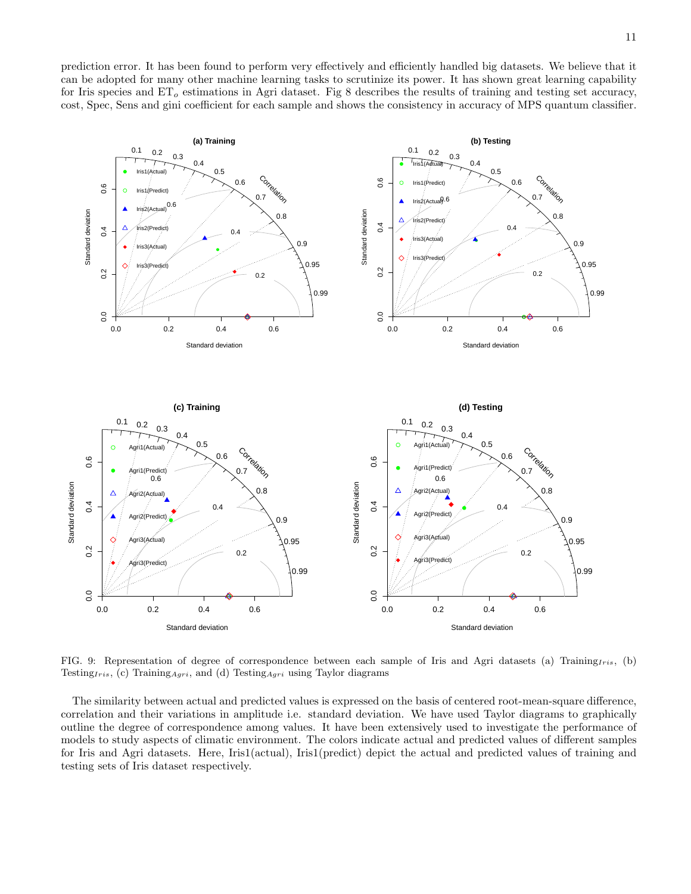prediction error. It has been found to perform very effectively and efficiently handled big datasets. We believe that it can be adopted for many other machine learning tasks to scrutinize its power. It has shown great learning capability for Iris species and  $ET<sub>o</sub>$  estimations in Agri dataset. Fig 8 describes the results of training and testing set accuracy, cost, Spec, Sens and gini coefficient for each sample and shows the consistency in accuracy of MPS quantum classifier.



FIG. 9: Representation of degree of correspondence between each sample of Iris and Agri datasets (a) Training $_{Iris}$ , (b) Testing<sub>Iris</sub>, (c) Training<sub>Agri</sub>, and (d) Testing<sub>Agri</sub> using Taylor diagrams

The similarity between actual and predicted values is expressed on the basis of centered root-mean-square difference, correlation and their variations in amplitude i.e. standard deviation. We have used Taylor diagrams to graphically outline the degree of correspondence among values. It have been extensively used to investigate the performance of models to study aspects of climatic environment. The colors indicate actual and predicted values of different samples for Iris and Agri datasets. Here, Iris1(actual), Iris1(predict) depict the actual and predicted values of training and testing sets of Iris dataset respectively.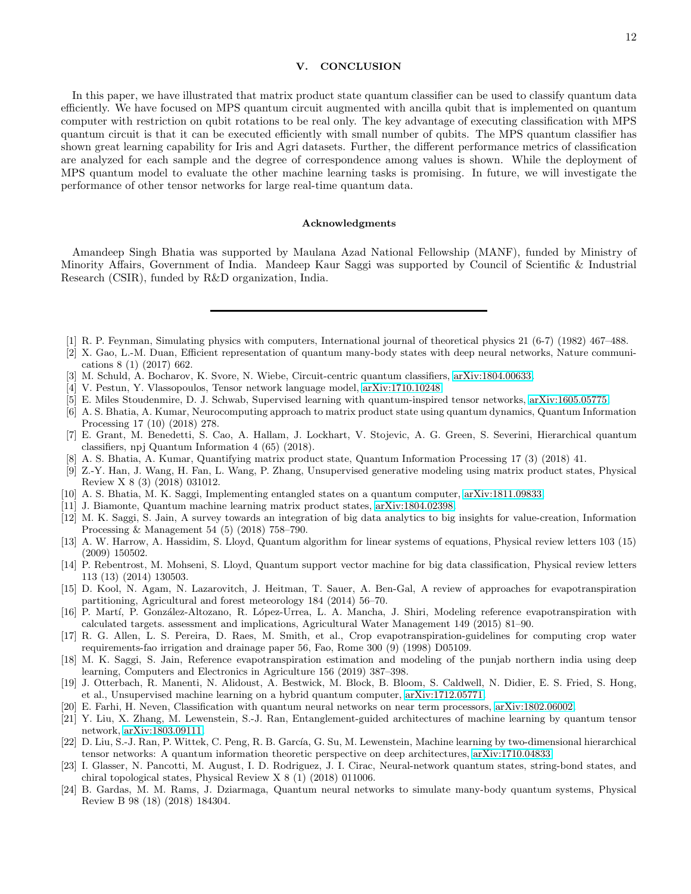# V. CONCLUSION

In this paper, we have illustrated that matrix product state quantum classifier can be used to classify quantum data efficiently. We have focused on MPS quantum circuit augmented with ancilla qubit that is implemented on quantum computer with restriction on qubit rotations to be real only. The key advantage of executing classification with MPS quantum circuit is that it can be executed efficiently with small number of qubits. The MPS quantum classifier has shown great learning capability for Iris and Agri datasets. Further, the different performance metrics of classification are analyzed for each sample and the degree of correspondence among values is shown. While the deployment of MPS quantum model to evaluate the other machine learning tasks is promising. In future, we will investigate the performance of other tensor networks for large real-time quantum data.

### Acknowledgments

Amandeep Singh Bhatia was supported by Maulana Azad National Fellowship (MANF), funded by Ministry of Minority Affairs, Government of India. Mandeep Kaur Saggi was supported by Council of Scientific & Industrial Research (CSIR), funded by R&D organization, India.

- <span id="page-11-0"></span>[1] R. P. Feynman, Simulating physics with computers, International journal of theoretical physics 21 (6-7) (1982) 467–488.
- <span id="page-11-1"></span>[2] X. Gao, L.-M. Duan, Efficient representation of quantum many-body states with deep neural networks, Nature communications 8 (1) (2017) 662.
- <span id="page-11-2"></span>[3] M. Schuld, A. Bocharov, K. Svore, N. Wiebe, Circuit-centric quantum classifiers, [arXiv:1804.00633.](http://arxiv.org/abs/1804.00633)
- <span id="page-11-3"></span>[4] V. Pestun, Y. Vlassopoulos, Tensor network language model, [arXiv:1710.10248.](http://arxiv.org/abs/1710.10248)
- <span id="page-11-4"></span>[5] E. Miles Stoudenmire, D. J. Schwab, Supervised learning with quantum-inspired tensor networks, [arXiv:1605.05775.](http://arxiv.org/abs/1605.05775)
- <span id="page-11-5"></span>[6] A. S. Bhatia, A. Kumar, Neurocomputing approach to matrix product state using quantum dynamics, Quantum Information Processing 17 (10) (2018) 278.
- <span id="page-11-6"></span>[7] E. Grant, M. Benedetti, S. Cao, A. Hallam, J. Lockhart, V. Stojevic, A. G. Green, S. Severini, Hierarchical quantum classifiers, npj Quantum Information 4 (65) (2018).
- <span id="page-11-7"></span>[8] A. S. Bhatia, A. Kumar, Quantifying matrix product state, Quantum Information Processing 17 (3) (2018) 41.
- <span id="page-11-8"></span>[9] Z.-Y. Han, J. Wang, H. Fan, L. Wang, P. Zhang, Unsupervised generative modeling using matrix product states, Physical Review X 8 (3) (2018) 031012.
- <span id="page-11-9"></span>[10] A. S. Bhatia, M. K. Saggi, Implementing entangled states on a quantum computer, [arXiv:1811.09833.](http://arxiv.org/abs/1811.09833)
- <span id="page-11-10"></span>[11] J. Biamonte, Quantum machine learning matrix product states, [arXiv:1804.02398.](http://arxiv.org/abs/1804.02398)
- <span id="page-11-11"></span>[12] M. K. Saggi, S. Jain, A survey towards an integration of big data analytics to big insights for value-creation, Information Processing & Management 54 (5) (2018) 758–790.
- <span id="page-11-12"></span>[13] A. W. Harrow, A. Hassidim, S. Lloyd, Quantum algorithm for linear systems of equations, Physical review letters 103 (15) (2009) 150502.
- <span id="page-11-13"></span>[14] P. Rebentrost, M. Mohseni, S. Lloyd, Quantum support vector machine for big data classification, Physical review letters 113 (13) (2014) 130503.
- <span id="page-11-14"></span>[15] D. Kool, N. Agam, N. Lazarovitch, J. Heitman, T. Sauer, A. Ben-Gal, A review of approaches for evapotranspiration partitioning, Agricultural and forest meteorology 184 (2014) 56–70.
- <span id="page-11-15"></span>[16] P. Martí, P. González-Altozano, R. López-Urrea, L. A. Mancha, J. Shiri, Modeling reference evapotranspiration with calculated targets. assessment and implications, Agricultural Water Management 149 (2015) 81–90.
- <span id="page-11-16"></span>[17] R. G. Allen, L. S. Pereira, D. Raes, M. Smith, et al., Crop evapotranspiration-guidelines for computing crop water requirements-fao irrigation and drainage paper 56, Fao, Rome 300 (9) (1998) D05109.
- <span id="page-11-17"></span>[18] M. K. Saggi, S. Jain, Reference evapotranspiration estimation and modeling of the punjab northern india using deep learning, Computers and Electronics in Agriculture 156 (2019) 387–398.
- <span id="page-11-18"></span>[19] J. Otterbach, R. Manenti, N. Alidoust, A. Bestwick, M. Block, B. Bloom, S. Caldwell, N. Didier, E. S. Fried, S. Hong, et al., Unsupervised machine learning on a hybrid quantum computer, [arXiv:1712.05771.](http://arxiv.org/abs/1712.05771)
- <span id="page-11-19"></span>[20] E. Farhi, H. Neven, Classification with quantum neural networks on near term processors, [arXiv:1802.06002.](http://arxiv.org/abs/1802.06002)
- <span id="page-11-20"></span>[21] Y. Liu, X. Zhang, M. Lewenstein, S.-J. Ran, Entanglement-guided architectures of machine learning by quantum tensor network, [arXiv:1803.09111.](http://arxiv.org/abs/1803.09111)
- <span id="page-11-21"></span>[22] D. Liu, S.-J. Ran, P. Wittek, C. Peng, R. B. García, G. Su, M. Lewenstein, Machine learning by two-dimensional hierarchical tensor networks: A quantum information theoretic perspective on deep architectures, [arXiv:1710.04833.](http://arxiv.org/abs/1710.04833)
- <span id="page-11-22"></span>[23] I. Glasser, N. Pancotti, M. August, I. D. Rodriguez, J. I. Cirac, Neural-network quantum states, string-bond states, and chiral topological states, Physical Review X 8 (1) (2018) 011006.
- <span id="page-11-23"></span>[24] B. Gardas, M. M. Rams, J. Dziarmaga, Quantum neural networks to simulate many-body quantum systems, Physical Review B 98 (18) (2018) 184304.